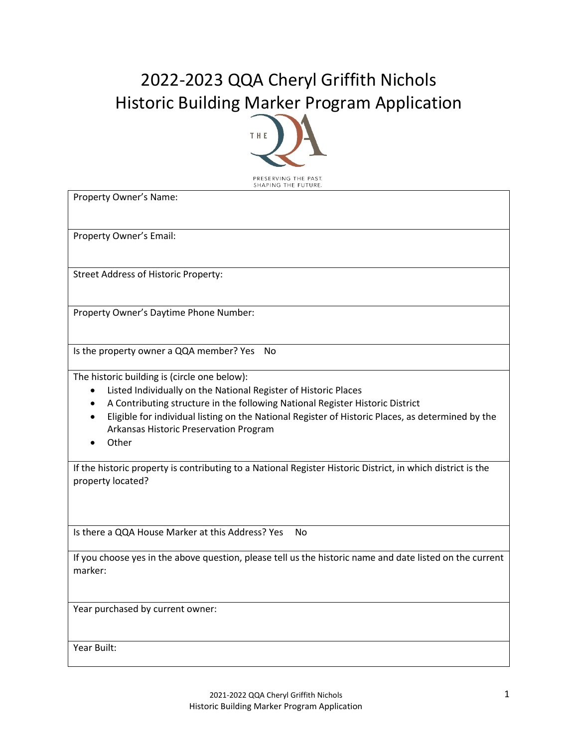## 2022-2023 QQA Cheryl Griffith Nichols Historic Building Marker Program Application



Property Owner's Name:

Property Owner's Email:

Street Address of Historic Property:

Property Owner's Daytime Phone Number:

Is the property owner a QQA member? Yes No

The historic building is (circle one below):

- Listed Individually on the National Register of Historic Places
- A Contributing structure in the following National Register Historic District
- Eligible for individual listing on the National Register of Historic Places, as determined by the Arkansas Historic Preservation Program
- Other

If the historic property is contributing to a National Register Historic District, in which district is the property located?

Is there a QQA House Marker at this Address? Yes No

If you choose yes in the above question, please tell us the historic name and date listed on the current marker:

Year purchased by current owner:

Year Built: